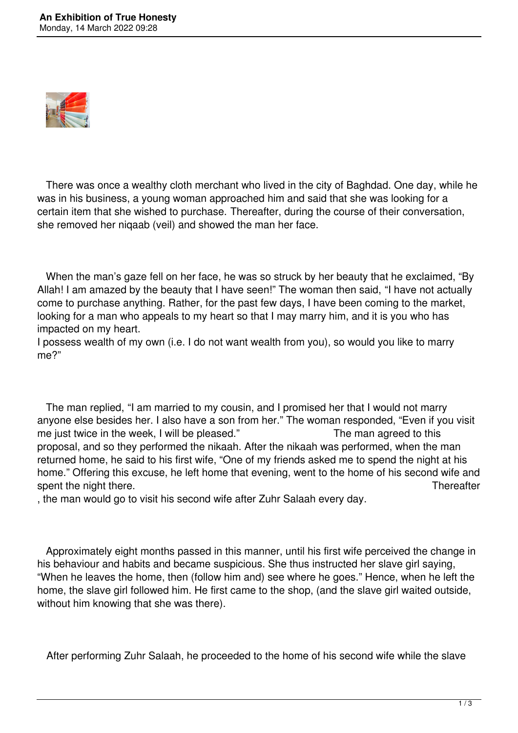

 There was once a wealthy cloth merchant who lived in the city of Baghdad. One day, while he was in his business, a young woman approached him and said that she was looking for a certain item that she wished to purchase. Thereafter, during the course of their conversation, she removed her niqaab (veil) and showed the man her face.

 When the man's gaze fell on her face, he was so struck by her beauty that he exclaimed, "By Allah! I am amazed by the beauty that I have seen!" The woman then said, "I have not actually come to purchase anything. Rather, for the past few days, I have been coming to the market, looking for a man who appeals to my heart so that I may marry him, and it is you who has impacted on my heart.

I possess wealth of my own (i.e. I do not want wealth from you), so would you like to marry me?"

 The man replied, "I am married to my cousin, and I promised her that I would not marry anyone else besides her. I also have a son from her." The woman responded, "Even if you visit me just twice in the week, I will be pleased." The man agreed to this proposal, and so they performed the nikaah. After the nikaah was performed, when the man returned home, he said to his first wife, "One of my friends asked me to spend the night at his home." Offering this excuse, he left home that evening, went to the home of his second wife and spent the night there. Thereafter

, the man would go to visit his second wife after Zuhr Salaah every day.

 Approximately eight months passed in this manner, until his first wife perceived the change in his behaviour and habits and became suspicious. She thus instructed her slave girl saying, "When he leaves the home, then (follow him and) see where he goes." Hence, when he left the home, the slave girl followed him. He first came to the shop, (and the slave girl waited outside, without him knowing that she was there).

After performing Zuhr Salaah, he proceeded to the home of his second wife while the slave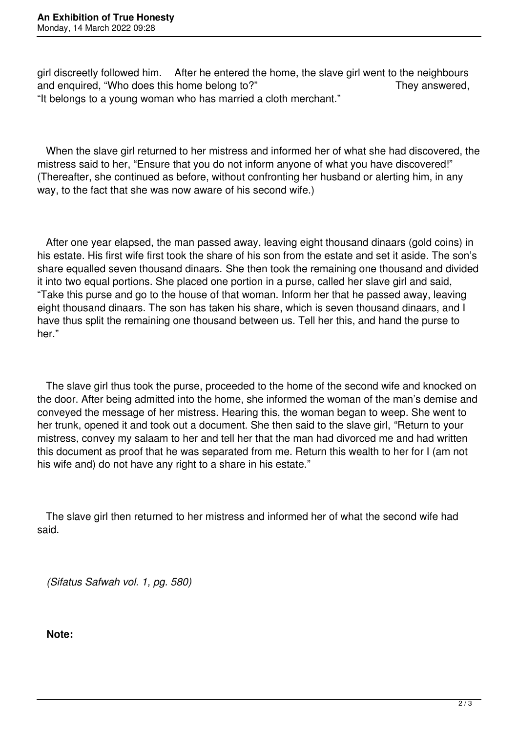girl discreetly followed him. After he entered the home, the slave girl went to the neighbours and enquired, "Who does this home belong to?" They answered, "It belongs to a young woman who has married a cloth merchant."

 When the slave girl returned to her mistress and informed her of what she had discovered, the mistress said to her, "Ensure that you do not inform anyone of what you have discovered!" (Thereafter, she continued as before, without confronting her husband or alerting him, in any way, to the fact that she was now aware of his second wife.)

 After one year elapsed, the man passed away, leaving eight thousand dinaars (gold coins) in his estate. His first wife first took the share of his son from the estate and set it aside. The son's share equalled seven thousand dinaars. She then took the remaining one thousand and divided it into two equal portions. She placed one portion in a purse, called her slave girl and said, "Take this purse and go to the house of that woman. Inform her that he passed away, leaving eight thousand dinaars. The son has taken his share, which is seven thousand dinaars, and I have thus split the remaining one thousand between us. Tell her this, and hand the purse to her."

 The slave girl thus took the purse, proceeded to the home of the second wife and knocked on the door. After being admitted into the home, she informed the woman of the man's demise and conveyed the message of her mistress. Hearing this, the woman began to weep. She went to her trunk, opened it and took out a document. She then said to the slave girl, "Return to your mistress, convey my salaam to her and tell her that the man had divorced me and had written this document as proof that he was separated from me. Return this wealth to her for I (am not his wife and) do not have any right to a share in his estate."

 The slave girl then returned to her mistress and informed her of what the second wife had said.

*(Sifatus Safwah vol. 1, pg. 580)*

**Note:**